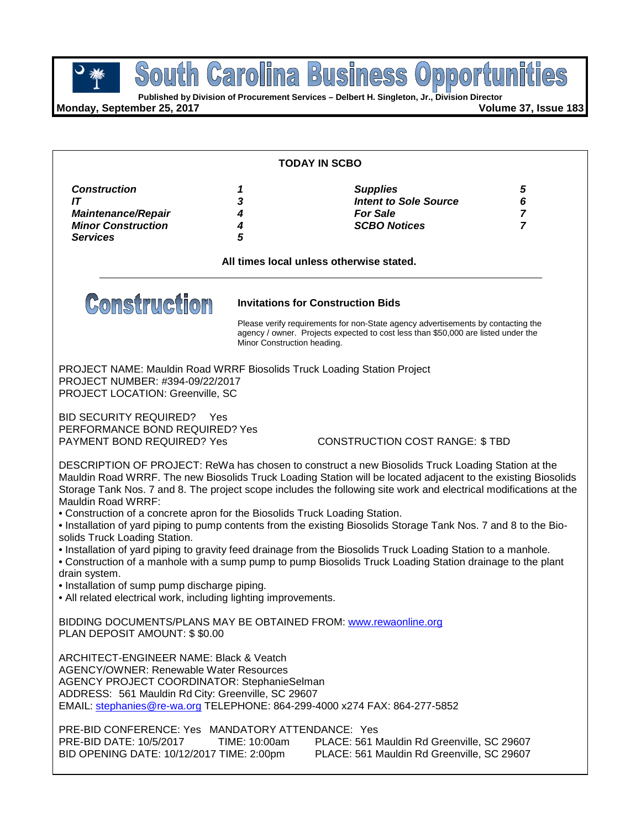**Published by Division of Procurement Services – Delbert H. Singleton, Jr., Division Director**

**Monday, September 25, 2017 Volume 37, Issue 183**

| <b>TODAY IN SCBO</b>                                                                                                                                                                                                                                                                           |                             |                                                                                                                                                                                                                                                                                                                                                                                                                                                                                                                                                                                                                                                                                            |                  |  |
|------------------------------------------------------------------------------------------------------------------------------------------------------------------------------------------------------------------------------------------------------------------------------------------------|-----------------------------|--------------------------------------------------------------------------------------------------------------------------------------------------------------------------------------------------------------------------------------------------------------------------------------------------------------------------------------------------------------------------------------------------------------------------------------------------------------------------------------------------------------------------------------------------------------------------------------------------------------------------------------------------------------------------------------------|------------------|--|
| <b>Construction</b><br>IT<br><b>Maintenance/Repair</b><br><b>Minor Construction</b><br><b>Services</b>                                                                                                                                                                                         | 1<br>3<br>4<br>4<br>5       | <b>Supplies</b><br><b>Intent to Sole Source</b><br><b>For Sale</b><br><b>SCBO Notices</b>                                                                                                                                                                                                                                                                                                                                                                                                                                                                                                                                                                                                  | 5<br>6<br>7<br>7 |  |
|                                                                                                                                                                                                                                                                                                |                             | All times local unless otherwise stated.                                                                                                                                                                                                                                                                                                                                                                                                                                                                                                                                                                                                                                                   |                  |  |
| <b>Construction</b>                                                                                                                                                                                                                                                                            | Minor Construction heading. | <b>Invitations for Construction Bids</b><br>Please verify requirements for non-State agency advertisements by contacting the<br>agency / owner. Projects expected to cost less than \$50,000 are listed under the                                                                                                                                                                                                                                                                                                                                                                                                                                                                          |                  |  |
| PROJECT NAME: Mauldin Road WRRF Biosolids Truck Loading Station Project<br>PROJECT NUMBER: #394-09/22/2017<br>PROJECT LOCATION: Greenville, SC                                                                                                                                                 |                             |                                                                                                                                                                                                                                                                                                                                                                                                                                                                                                                                                                                                                                                                                            |                  |  |
| <b>BID SECURITY REQUIRED?</b> Yes<br>PERFORMANCE BOND REQUIRED? Yes<br><b>PAYMENT BOND REQUIRED? Yes</b>                                                                                                                                                                                       |                             | <b>CONSTRUCTION COST RANGE: \$ TBD</b>                                                                                                                                                                                                                                                                                                                                                                                                                                                                                                                                                                                                                                                     |                  |  |
| Mauldin Road WRRF:<br>• Construction of a concrete apron for the Biosolids Truck Loading Station.<br>solids Truck Loading Station.<br>drain system.<br>• Installation of sump pump discharge piping.<br>• All related electrical work, including lighting improvements.                        |                             | DESCRIPTION OF PROJECT: ReWa has chosen to construct a new Biosolids Truck Loading Station at the<br>Mauldin Road WRRF. The new Biosolids Truck Loading Station will be located adjacent to the existing Biosolids<br>Storage Tank Nos. 7 and 8. The project scope includes the following site work and electrical modifications at the<br>• Installation of yard piping to pump contents from the existing Biosolids Storage Tank Nos. 7 and 8 to the Bio-<br>. Installation of yard piping to gravity feed drainage from the Biosolids Truck Loading Station to a manhole.<br>• Construction of a manhole with a sump pump to pump Biosolids Truck Loading Station drainage to the plant |                  |  |
| BIDDING DOCUMENTS/PLANS MAY BE OBTAINED FROM: www.rewaonline.org<br>PLAN DEPOSIT AMOUNT: \$\$0.00                                                                                                                                                                                              |                             |                                                                                                                                                                                                                                                                                                                                                                                                                                                                                                                                                                                                                                                                                            |                  |  |
| <b>ARCHITECT-ENGINEER NAME: Black &amp; Veatch</b><br><b>AGENCY/OWNER: Renewable Water Resources</b><br><b>AGENCY PROJECT COORDINATOR: StephanieSelman</b><br>ADDRESS: 561 Mauldin Rd City: Greenville, SC 29607<br>EMAIL: stephanies@re-wa.org TELEPHONE: 864-299-4000 x274 FAX: 864-277-5852 |                             |                                                                                                                                                                                                                                                                                                                                                                                                                                                                                                                                                                                                                                                                                            |                  |  |
| PRE-BID CONFERENCE: Yes MANDATORY ATTENDANCE: Yes<br>PRE-BID DATE: 10/5/2017<br>BID OPENING DATE: 10/12/2017 TIME: 2:00pm                                                                                                                                                                      | TIME: 10:00am               | PLACE: 561 Mauldin Rd Greenville, SC 29607<br>PLACE: 561 Mauldin Rd Greenville, SC 29607                                                                                                                                                                                                                                                                                                                                                                                                                                                                                                                                                                                                   |                  |  |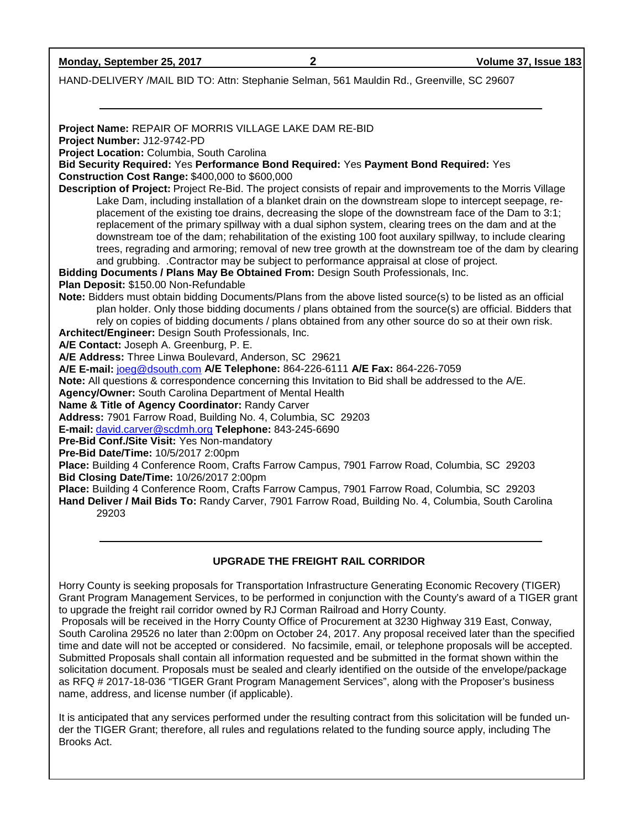**Monday, September 25, 2017 2 Volume 37, Issue 183**

HAND-DELIVERY /MAIL BID TO: Attn: Stephanie Selman, 561 Mauldin Rd., Greenville, SC 29607

| Project Name: REPAIR OF MORRIS VILLAGE LAKE DAM RE-BID                                                                                                                                                                                                                                                                                                                                                                                                                                                                                                                                                                                |  |  |  |
|---------------------------------------------------------------------------------------------------------------------------------------------------------------------------------------------------------------------------------------------------------------------------------------------------------------------------------------------------------------------------------------------------------------------------------------------------------------------------------------------------------------------------------------------------------------------------------------------------------------------------------------|--|--|--|
| Project Number: J12-9742-PD                                                                                                                                                                                                                                                                                                                                                                                                                                                                                                                                                                                                           |  |  |  |
| Project Location: Columbia, South Carolina                                                                                                                                                                                                                                                                                                                                                                                                                                                                                                                                                                                            |  |  |  |
| Bid Security Required: Yes Performance Bond Required: Yes Payment Bond Required: Yes                                                                                                                                                                                                                                                                                                                                                                                                                                                                                                                                                  |  |  |  |
| <b>Construction Cost Range: \$400,000 to \$600,000</b>                                                                                                                                                                                                                                                                                                                                                                                                                                                                                                                                                                                |  |  |  |
| <b>Description of Project:</b> Project Re-Bid. The project consists of repair and improvements to the Morris Village                                                                                                                                                                                                                                                                                                                                                                                                                                                                                                                  |  |  |  |
| Lake Dam, including installation of a blanket drain on the downstream slope to intercept seepage, re-<br>placement of the existing toe drains, decreasing the slope of the downstream face of the Dam to 3:1;<br>replacement of the primary spillway with a dual siphon system, clearing trees on the dam and at the<br>downstream toe of the dam; rehabilitation of the existing 100 foot auxilary spillway, to include clearing<br>trees, regrading and armoring; removal of new tree growth at the downstream toe of the dam by clearing<br>and grubbing. .Contractor may be subject to performance appraisal at close of project. |  |  |  |
| Bidding Documents / Plans May Be Obtained From: Design South Professionals, Inc.                                                                                                                                                                                                                                                                                                                                                                                                                                                                                                                                                      |  |  |  |
| Plan Deposit: \$150.00 Non-Refundable                                                                                                                                                                                                                                                                                                                                                                                                                                                                                                                                                                                                 |  |  |  |
| Note: Bidders must obtain bidding Documents/Plans from the above listed source(s) to be listed as an official                                                                                                                                                                                                                                                                                                                                                                                                                                                                                                                         |  |  |  |
| plan holder. Only those bidding documents / plans obtained from the source(s) are official. Bidders that<br>rely on copies of bidding documents / plans obtained from any other source do so at their own risk.                                                                                                                                                                                                                                                                                                                                                                                                                       |  |  |  |
| Architect/Engineer: Design South Professionals, Inc.                                                                                                                                                                                                                                                                                                                                                                                                                                                                                                                                                                                  |  |  |  |
| A/E Contact: Joseph A. Greenburg, P. E.                                                                                                                                                                                                                                                                                                                                                                                                                                                                                                                                                                                               |  |  |  |
| A/E Address: Three Linwa Boulevard, Anderson, SC 29621                                                                                                                                                                                                                                                                                                                                                                                                                                                                                                                                                                                |  |  |  |
| A/E E-mail: joeg@dsouth.com A/E Telephone: 864-226-6111 A/E Fax: 864-226-7059                                                                                                                                                                                                                                                                                                                                                                                                                                                                                                                                                         |  |  |  |
| Note: All questions & correspondence concerning this Invitation to Bid shall be addressed to the A/E.                                                                                                                                                                                                                                                                                                                                                                                                                                                                                                                                 |  |  |  |
| Agency/Owner: South Carolina Department of Mental Health                                                                                                                                                                                                                                                                                                                                                                                                                                                                                                                                                                              |  |  |  |
| Name & Title of Agency Coordinator: Randy Carver                                                                                                                                                                                                                                                                                                                                                                                                                                                                                                                                                                                      |  |  |  |
| Address: 7901 Farrow Road, Building No. 4, Columbia, SC 29203                                                                                                                                                                                                                                                                                                                                                                                                                                                                                                                                                                         |  |  |  |
| E-mail: david.carver@scdmh.org Telephone: 843-245-6690                                                                                                                                                                                                                                                                                                                                                                                                                                                                                                                                                                                |  |  |  |
| Pre-Bid Conf./Site Visit: Yes Non-mandatory                                                                                                                                                                                                                                                                                                                                                                                                                                                                                                                                                                                           |  |  |  |
| Pre-Bid Date/Time: 10/5/2017 2:00pm                                                                                                                                                                                                                                                                                                                                                                                                                                                                                                                                                                                                   |  |  |  |
| Place: Building 4 Conference Room, Crafts Farrow Campus, 7901 Farrow Road, Columbia, SC 29203                                                                                                                                                                                                                                                                                                                                                                                                                                                                                                                                         |  |  |  |
| Bid Closing Date/Time: 10/26/2017 2:00pm                                                                                                                                                                                                                                                                                                                                                                                                                                                                                                                                                                                              |  |  |  |
| Place: Building 4 Conference Room, Crafts Farrow Campus, 7901 Farrow Road, Columbia, SC 29203                                                                                                                                                                                                                                                                                                                                                                                                                                                                                                                                         |  |  |  |
| Hand Deliver / Mail Bids To: Randy Carver, 7901 Farrow Road, Building No. 4, Columbia, South Carolina<br>29203                                                                                                                                                                                                                                                                                                                                                                                                                                                                                                                        |  |  |  |
|                                                                                                                                                                                                                                                                                                                                                                                                                                                                                                                                                                                                                                       |  |  |  |

### **UPGRADE THE FREIGHT RAIL CORRIDOR**

Horry County is seeking proposals for Transportation Infrastructure Generating Economic Recovery (TIGER) Grant Program Management Services, to be performed in conjunction with the County's award of a TIGER grant to upgrade the freight rail corridor owned by RJ Corman Railroad and Horry County.

Proposals will be received in the Horry County Office of Procurement at 3230 Highway 319 East, Conway, South Carolina 29526 no later than 2:00pm on October 24, 2017. Any proposal received later than the specified time and date will not be accepted or considered. No facsimile, email, or telephone proposals will be accepted. Submitted Proposals shall contain all information requested and be submitted in the format shown within the solicitation document. Proposals must be sealed and clearly identified on the outside of the envelope/package as RFQ # 2017-18-036 "TIGER Grant Program Management Services", along with the Proposer's business name, address, and license number (if applicable).

It is anticipated that any services performed under the resulting contract from this solicitation will be funded under the TIGER Grant; therefore, all rules and regulations related to the funding source apply, including The Brooks Act.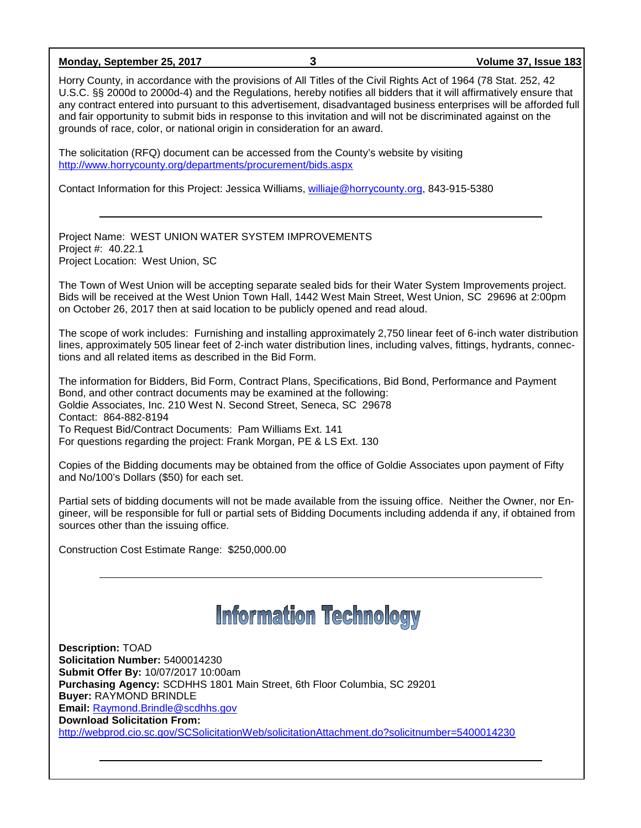**Monday, September 25, 2017 3 Volume 37, Issue 183** Horry County, in accordance with the provisions of All Titles of the Civil Rights Act of 1964 (78 Stat. 252, 42 U.S.C. §§ 2000d to 2000d-4) and the Regulations, hereby notifies all bidders that it will affirmatively ensure that any contract entered into pursuant to this advertisement, disadvantaged business enterprises will be afforded full and fair opportunity to submit bids in response to this invitation and will not be discriminated against on the grounds of race, color, or national origin in consideration for an award. The solicitation (RFQ) document can be accessed from the County's website by visiting <http://www.horrycounty.org/departments/procurement/bids.aspx> Contact Information for this Project: Jessica Williams, [williaje@horrycounty.org,](mailto:williaje@horrycounty.org) 843-915-5380 Project Name: WEST UNION WATER SYSTEM IMPROVEMENTS Project #: 40.22.1 Project Location: West Union, SC

The Town of West Union will be accepting separate sealed bids for their Water System Improvements project. Bids will be received at the West Union Town Hall, 1442 West Main Street, West Union, SC 29696 at 2:00pm on October 26, 2017 then at said location to be publicly opened and read aloud.

The scope of work includes: Furnishing and installing approximately 2,750 linear feet of 6-inch water distribution lines, approximately 505 linear feet of 2-inch water distribution lines, including valves, fittings, hydrants, connections and all related items as described in the Bid Form.

The information for Bidders, Bid Form, Contract Plans, Specifications, Bid Bond, Performance and Payment Bond, and other contract documents may be examined at the following: Goldie Associates, Inc. 210 West N. Second Street, Seneca, SC 29678 Contact: 864-882-8194 To Request Bid/Contract Documents: Pam Williams Ext. 141 For questions regarding the project: Frank Morgan, PE & LS Ext. 130

Copies of the Bidding documents may be obtained from the office of Goldie Associates upon payment of Fifty and No/100's Dollars (\$50) for each set.

Partial sets of bidding documents will not be made available from the issuing office. Neither the Owner, nor Engineer, will be responsible for full or partial sets of Bidding Documents including addenda if any, if obtained from sources other than the issuing office.

Construction Cost Estimate Range: \$250,000.00

# **Information Technology**

**Description:** TOAD **Solicitation Number:** 5400014230 **Submit Offer By:** 10/07/2017 10:00am **Purchasing Agency:** SCDHHS 1801 Main Street, 6th Floor Columbia, SC 29201 **Buyer:** RAYMOND BRINDLE **Email:** [Raymond.Brindle@scdhhs.gov](mailto:Raymond.Brindle@scdhhs.gov) **Download Solicitation From:**  <http://webprod.cio.sc.gov/SCSolicitationWeb/solicitationAttachment.do?solicitnumber=5400014230>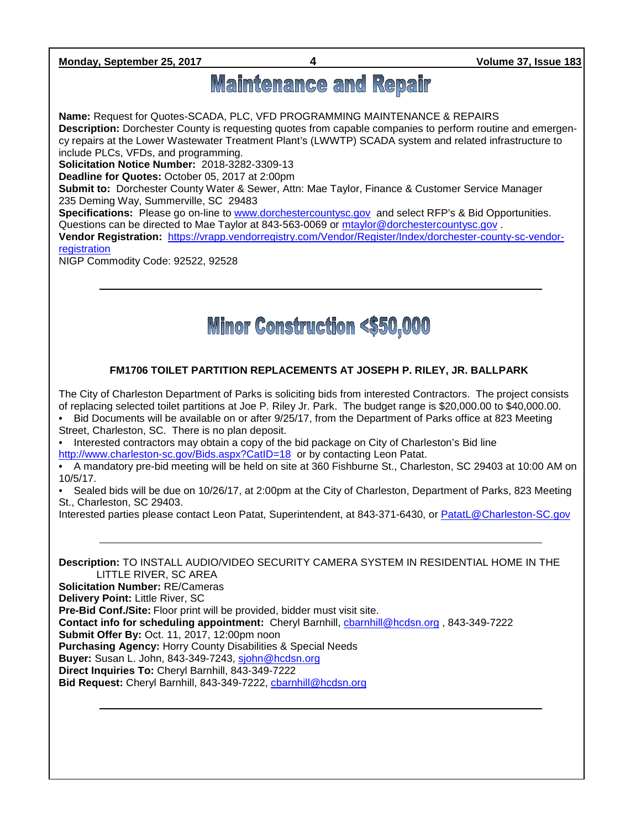**Monday, September 25, 2017 4 Volume 37, Issue 183**

### **Maintenance and Repair**

**Name:** Request for Quotes-SCADA, PLC, VFD PROGRAMMING MAINTENANCE & REPAIRS **Description:** Dorchester County is requesting quotes from capable companies to perform routine and emergency repairs at the Lower Wastewater Treatment Plant's (LWWTP) SCADA system and related infrastructure to include PLCs, VFDs, and programming. **Solicitation Notice Number:** 2018-3282-3309-13 **Deadline for Quotes: October 05, 2017 at 2:00pm Submit to:** Dorchester County Water & Sewer, Attn: Mae Taylor, Finance & Customer Service Manager 235 Deming Way, Summerville, SC 29483 **Specifications:** Please go on-line to [www.dorchestercountysc.gov](http://www.dorchestercountysc.gov/) and select RFP's & Bid Opportunities. Questions can be directed to Mae Taylor at 843-563-0069 or [mtaylor@dorchestercountysc.gov](mailto:mtaylor@dorchestercountysc.gov) . **Vendor Registration:** [https://vrapp.vendorregistry.com/Vendor/Register/Index/dorchester-county-sc-vendor](https://vrapp.vendorregistry.com/Vendor/Register/Index/dorchester-county-sc-vendor-registration)**[registration](https://vrapp.vendorregistry.com/Vendor/Register/Index/dorchester-county-sc-vendor-registration)** NIGP Commodity Code: 92522, 92528 **Minor Construction <\$50,000 FM1706 TOILET PARTITION REPLACEMENTS AT JOSEPH P. RILEY, JR. BALLPARK** The City of Charleston Department of Parks is soliciting bids from interested Contractors. The project consists of replacing selected toilet partitions at Joe P. Riley Jr. Park. The budget range is \$20,000.00 to \$40,000.00. • Bid Documents will be available on or after 9/25/17, from the Department of Parks office at 823 Meeting Street, Charleston, SC. There is no plan deposit. • Interested contractors may obtain a copy of the bid package on City of Charleston's Bid line <http://www.charleston-sc.gov/Bids.aspx?CatID=18> or by contacting Leon Patat. • A mandatory pre-bid meeting will be held on site at 360 Fishburne St., Charleston, SC 29403 at 10:00 AM on 10/5/17. • Sealed bids will be due on 10/26/17, at 2:00pm at the City of Charleston, Department of Parks, 823 Meeting St., Charleston, SC 29403. Interested parties please contact Leon Patat, Superintendent, at 843-371-6430, or [PatatL@Charleston-SC.gov](mailto:PatatL@Charleston-SC.gov) **Description:** TO INSTALL AUDIO/VIDEO SECURITY CAMERA SYSTEM IN RESIDENTIAL HOME IN THE LITTLE RIVER, SC AREA **Solicitation Number:** RE/Cameras **Delivery Point:** Little River, SC **Pre-Bid Conf./Site:** Floor print will be provided, bidder must visit site. **Contact info for scheduling appointment:** Cheryl Barnhill, [cbarnhill@hcdsn.org](mailto:cbarnhill@hcdsn.org) , 843-349-7222 **Submit Offer By:** Oct. 11, 2017, 12:00pm noon **Purchasing Agency:** Horry County Disabilities & Special Needs **Buyer:** Susan L. John, 843-349-7243, [sjohn@hcdsn.org](mailto:sjohn@hcdsn.org) **Direct Inquiries To:** Cheryl Barnhill, 843-349-7222 **Bid Request:** Cheryl Barnhill, 843-349-7222, [cbarnhill@hcdsn.org](mailto:cbarnhill@hcdsn.org)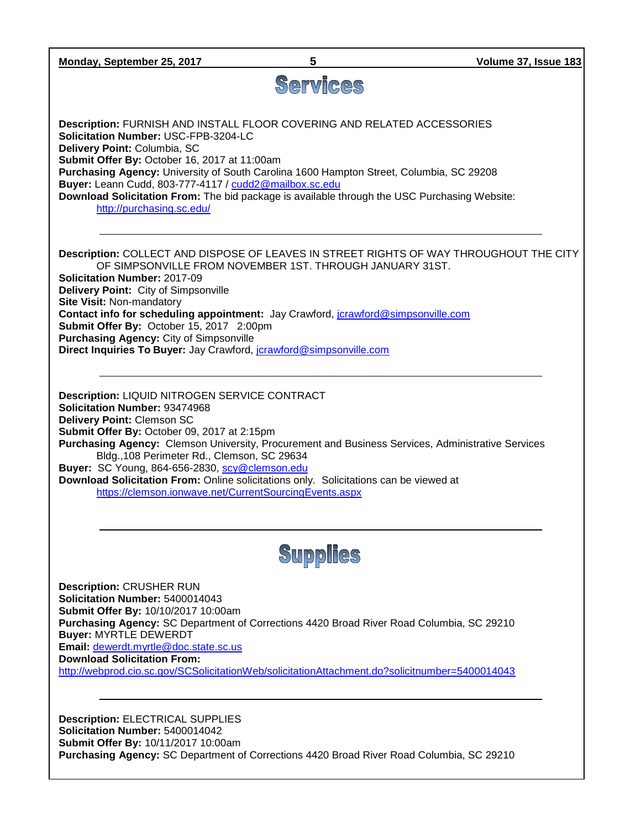**Monday, September 25, 2017 5 Volume 37, Issue 183**

## Services

**Description:** FURNISH AND INSTALL FLOOR COVERING AND RELATED ACCESSORIES **Solicitation Number:** USC-FPB-3204-LC **Delivery Point:** Columbia, SC **Submit Offer By:** October 16, 2017 at 11:00am **Purchasing Agency:** University of South Carolina 1600 Hampton Street, Columbia, SC 29208 **Buyer:** Leann Cudd, 803-777-4117 / [cudd2@mailbox.sc.edu](mailto:cudd2@mailbox.sc.edu) **Download Solicitation From:** The bid package is available through the USC Purchasing Website: <http://purchasing.sc.edu/>

**Description:** COLLECT AND DISPOSE OF LEAVES IN STREET RIGHTS OF WAY THROUGHOUT THE CITY OF SIMPSONVILLE FROM NOVEMBER 1ST. THROUGH JANUARY 31ST. **Solicitation Number:** 2017-09 **Delivery Point:** City of Simpsonville **Site Visit:** Non-mandatory **Contact info for scheduling appointment:** Jay Crawford, [jcrawford@simpsonville.com](mailto:jcrawford@simpsonville.com) **Submit Offer By:** October 15, 2017 2:00pm **Purchasing Agency:** City of Simpsonville **Direct Inquiries To Buyer:** Jay Crawford, [jcrawford@simpsonville.com](mailto:jcrawford@simpsonville.com)

**Description:** LIQUID NITROGEN SERVICE CONTRACT **Solicitation Number:** 93474968 **Delivery Point:** Clemson SC **Submit Offer By:** October 09, 2017 at 2:15pm **Purchasing Agency:** Clemson University, Procurement and Business Services, Administrative Services Bldg.,108 Perimeter Rd., Clemson, SC 29634 **Buyer:** SC Young, 864-656-2830, [scy@clemson.edu](mailto:scy@clemson.edu) **Download Solicitation From:** Online solicitations only. Solicitations can be viewed at <https://clemson.ionwave.net/CurrentSourcingEvents.aspx>

### **Supplies**

**Description:** CRUSHER RUN **Solicitation Number:** 5400014043 **Submit Offer By:** 10/10/2017 10:00am **Purchasing Agency:** SC Department of Corrections 4420 Broad River Road Columbia, SC 29210 **Buyer:** MYRTLE DEWERDT **Email:** [dewerdt.myrtle@doc.state.sc.us](mailto:dewerdt.myrtle@doc.state.sc.us) **Download Solicitation From:** 

<http://webprod.cio.sc.gov/SCSolicitationWeb/solicitationAttachment.do?solicitnumber=5400014043>

**Description:** ELECTRICAL SUPPLIES **Solicitation Number:** 5400014042 **Submit Offer By:** 10/11/2017 10:00am **Purchasing Agency:** SC Department of Corrections 4420 Broad River Road Columbia, SC 29210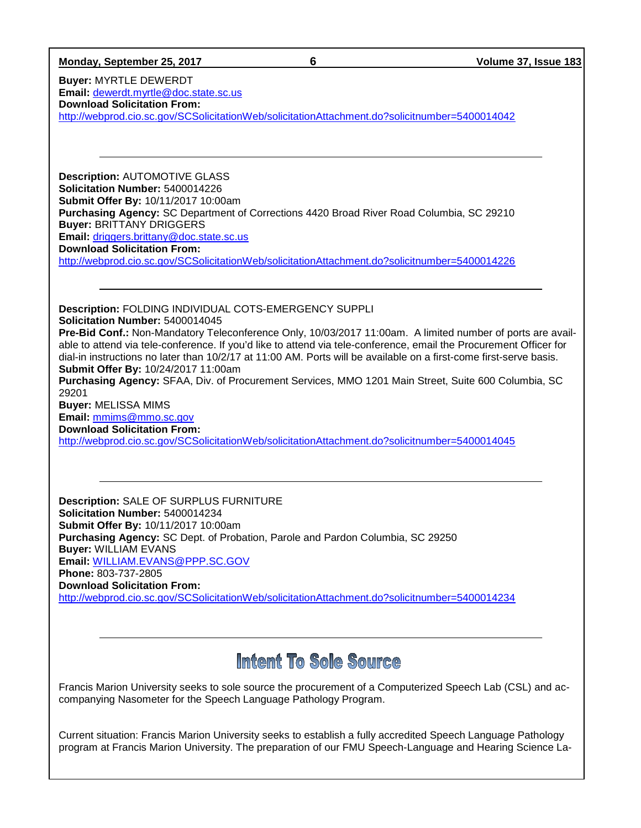**Monday, September 25, 2017 6 Volume 37, Issue 183**

**Buyer:** MYRTLE DEWERDT **Email:** [dewerdt.myrtle@doc.state.sc.us](mailto:dewerdt.myrtle@doc.state.sc.us) **Download Solicitation From:**  <http://webprod.cio.sc.gov/SCSolicitationWeb/solicitationAttachment.do?solicitnumber=5400014042>

**Description:** AUTOMOTIVE GLASS **Solicitation Number:** 5400014226 **Submit Offer By:** 10/11/2017 10:00am **Purchasing Agency:** SC Department of Corrections 4420 Broad River Road Columbia, SC 29210 **Buyer:** BRITTANY DRIGGERS **Email:** [driggers.brittany@doc.state.sc.us](mailto:driggers.brittany@doc.state.sc.us) **Download Solicitation From:** 

<http://webprod.cio.sc.gov/SCSolicitationWeb/solicitationAttachment.do?solicitnumber=5400014226>

**Description:** FOLDING INDIVIDUAL COTS-EMERGENCY SUPPLI **Solicitation Number:** 5400014045 **Pre-Bid Conf.:** Non-Mandatory Teleconference Only, 10/03/2017 11:00am. A limited number of ports are available to attend via tele-conference. If you'd like to attend via tele-conference, email the Procurement Officer for dial-in instructions no later than 10/2/17 at 11:00 AM. Ports will be available on a first-come first-serve basis. **Submit Offer By:** 10/24/2017 11:00am **Purchasing Agency:** SFAA, Div. of Procurement Services, MMO 1201 Main Street, Suite 600 Columbia, SC 29201 **Buyer:** MELISSA MIMS **Email:** [mmims@mmo.sc.gov](mailto:mmims@mmo.sc.gov) **Download Solicitation From:**  <http://webprod.cio.sc.gov/SCSolicitationWeb/solicitationAttachment.do?solicitnumber=5400014045>

**Description:** SALE OF SURPLUS FURNITURE **Solicitation Number:** 5400014234 **Submit Offer By:** 10/11/2017 10:00am **Purchasing Agency:** SC Dept. of Probation, Parole and Pardon Columbia, SC 29250 **Buyer:** WILLIAM EVANS **Email:** [WILLIAM.EVANS@PPP.SC.GOV](mailto:WILLIAM.EVANS@PPP.SC.GOV) **Phone:** 803-737-2805 **Download Solicitation From:**  <http://webprod.cio.sc.gov/SCSolicitationWeb/solicitationAttachment.do?solicitnumber=5400014234>

### Intent To Sole Source

Francis Marion University seeks to sole source the procurement of a Computerized Speech Lab (CSL) and accompanying Nasometer for the Speech Language Pathology Program.

Current situation: Francis Marion University seeks to establish a fully accredited Speech Language Pathology program at Francis Marion University. The preparation of our FMU Speech-Language and Hearing Science La-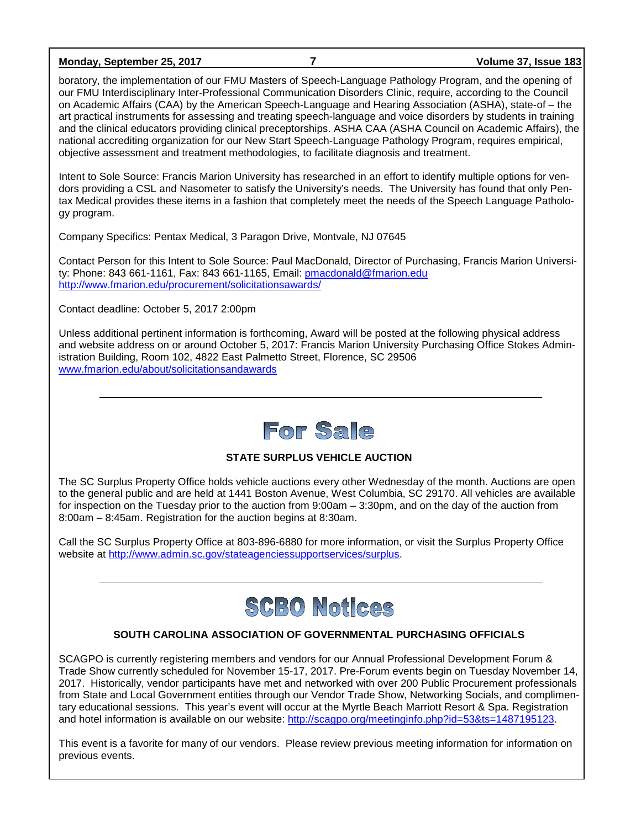#### **Monday, September 25, 2017 7 Volume 37, Issue 183**

boratory, the implementation of our FMU Masters of Speech-Language Pathology Program, and the opening of our FMU Interdisciplinary Inter-Professional Communication Disorders Clinic, require, according to the Council on Academic Affairs (CAA) by the American Speech-Language and Hearing Association (ASHA), state-of – the art practical instruments for assessing and treating speech-language and voice disorders by students in training and the clinical educators providing clinical preceptorships. ASHA CAA (ASHA Council on Academic Affairs), the national accrediting organization for our New Start Speech-Language Pathology Program, requires empirical, objective assessment and treatment methodologies, to facilitate diagnosis and treatment.

Intent to Sole Source: Francis Marion University has researched in an effort to identify multiple options for vendors providing a CSL and Nasometer to satisfy the University's needs. The University has found that only Pentax Medical provides these items in a fashion that completely meet the needs of the Speech Language Pathology program.

Company Specifics: Pentax Medical, 3 Paragon Drive, Montvale, NJ 07645

Contact Person for this Intent to Sole Source: Paul MacDonald, Director of Purchasing, Francis Marion University: Phone: 843 661-1161, Fax: 843 661-1165, Email: [pmacdonald@fmarion.edu](mailto:pmacdonald@fmarion.edu) <http://www.fmarion.edu/procurement/solicitationsawards/>

Contact deadline: October 5, 2017 2:00pm

Unless additional pertinent information is forthcoming, Award will be posted at the following physical address and website address on or around October 5, 2017: Francis Marion University Purchasing Office Stokes Administration Building, Room 102, 4822 East Palmetto Street, Florence, SC 29506 [www.fmarion.edu/about/solicitationsandawards](http://www.fmarion.edu/about/solicitationsandawards)



### **STATE SURPLUS VEHICLE AUCTION**

The SC Surplus Property Office holds vehicle auctions every other Wednesday of the month. Auctions are open to the general public and are held at 1441 Boston Avenue, West Columbia, SC 29170. All vehicles are available for inspection on the Tuesday prior to the auction from 9:00am – 3:30pm, and on the day of the auction from 8:00am – 8:45am. Registration for the auction begins at 8:30am.

Call the SC Surplus Property Office at 803-896-6880 for more information, or visit the Surplus Property Office website at [http://www.admin.sc.gov/stateagenciessupportservices/surplus.](http://www.admin.sc.gov/stateagenciessupportservices/surplus)



### **SOUTH CAROLINA ASSOCIATION OF GOVERNMENTAL PURCHASING OFFICIALS**

SCAGPO is currently registering members and vendors for our Annual Professional Development Forum & Trade Show currently scheduled for November 15-17, 2017. Pre-Forum events begin on Tuesday November 14, 2017. Historically, vendor participants have met and networked with over 200 Public Procurement professionals from State and Local Government entities through our Vendor Trade Show, Networking Socials, and complimentary educational sessions. This year's event will occur at the Myrtle Beach Marriott Resort & Spa. Registration and hotel information is available on our website: [http://scagpo.org/meetinginfo.php?id=53&ts=1487195123.](http://scagpo.org/meetinginfo.php?id=53&ts=1487195123)

This event is a favorite for many of our vendors. Please review previous meeting information for information on previous events.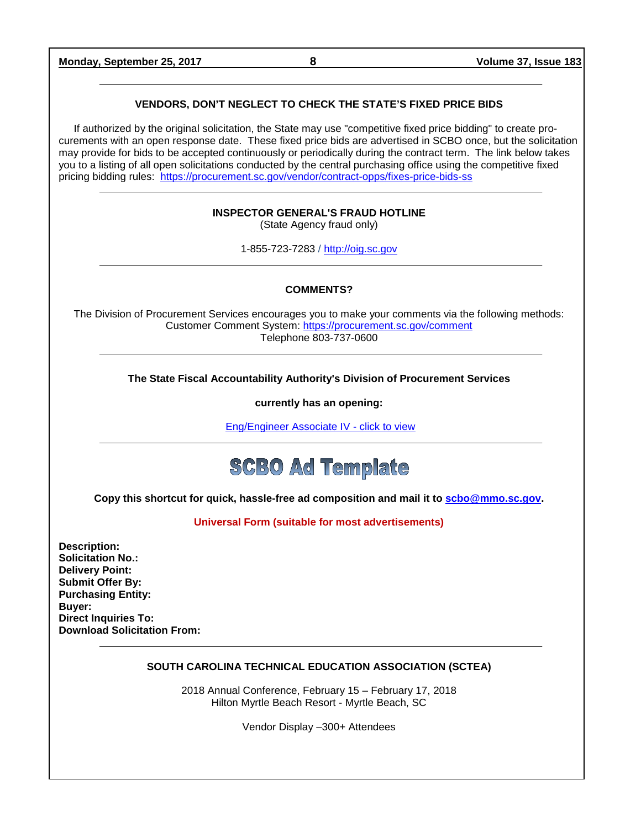**Monday, September 25, 2017 8 Volume 37, Issue 183**

#### **VENDORS, DON'T NEGLECT TO CHECK THE STATE'S FIXED PRICE BIDS**

If authorized by the original solicitation, the State may use "competitive fixed price bidding" to create procurements with an open response date. These fixed price bids are advertised in SCBO once, but the solicitation may provide for bids to be accepted continuously or periodically during the contract term. The link below takes you to a listing of all open solicitations conducted by the central purchasing office using the competitive fixed pricing bidding rules: <https://procurement.sc.gov/vendor/contract-opps/fixes-price-bids-ss>

#### **INSPECTOR GENERAL'S FRAUD HOTLINE**

(State Agency fraud only)

1-855-723-7283 / [http://oig.sc.gov](http://oig.sc.gov/)

#### **COMMENTS?**

The Division of Procurement Services encourages you to make your comments via the following methods: Customer Comment System:<https://procurement.sc.gov/comment> Telephone 803-737-0600

**The State Fiscal Accountability Authority's Division of Procurement Services** 

**currently has an opening:**

[Eng/Engineer Associate IV -](http://agency.governmentjobs.com/sc/default.cfm?action=viewJob&jobID=1632757&hit_count=yes&headerFooter=1&promo=0&transfer=0&WDDXJobSearchParams=%3CwddxPacket%20version%3D%271%2E0%27%3E%3Cheader%2F%3E%3Cdata%3E%3Cstruct%3E%3Cvar%20name%3D%27TRANSFER%27%3E%3Cstring%3E0%3C%2Fstring%3E%3C%2Fvar%3E%3Cvar%20name%3D%27CATEGORYID%27%3E%3Cstring%3E-1%3C%2Fstring%3E%3C%2Fvar%3E%3Cvar%20name%3D%27FIND_KEYWORD%27%3E%3Cstring%3E%3C%2Fstring%3E%3C%2Fvar%3E%3Cvar%20name%3D%27PROMOTIONALJOBS%27%3E%3Cstring%3E0%3C%2Fstring%3E%3C%2Fvar%3E%3C%2Fstruct%3E%3C%2Fdata%3E%3C%2FwddxPacket%3E) click to view

### **SCBO Ad Template**

**Copy this shortcut for quick, hassle-free ad composition and mail it to [scbo@mmo.sc.gov.](mailto:scbo@mmo.sc.gov)** 

**Universal Form (suitable for most advertisements)**

**Description: Solicitation No.: Delivery Point: Submit Offer By: Purchasing Entity: Buyer: Direct Inquiries To: Download Solicitation From:**

#### **SOUTH CAROLINA TECHNICAL EDUCATION ASSOCIATION (SCTEA)**

2018 Annual Conference, February 15 – February 17, 2018 Hilton Myrtle Beach Resort - Myrtle Beach, SC

Vendor Display –300+ Attendees